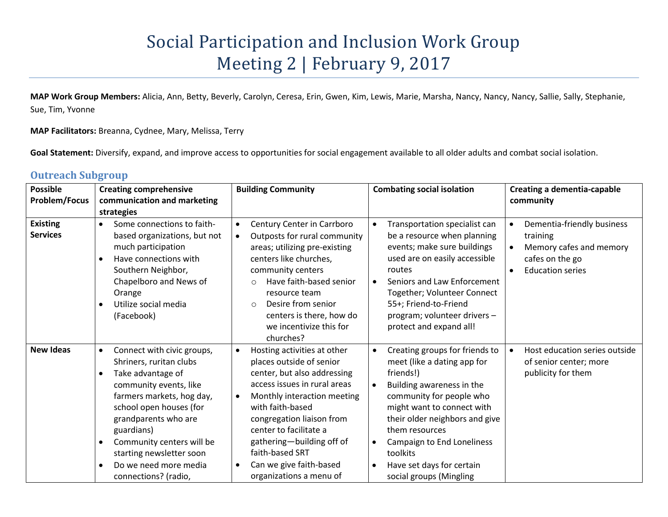# Social Participation and Inclusion Work Group Meeting 2 | February 9, 2017

**MAP Work Group Members:** Alicia, Ann, Betty, Beverly, Carolyn, Ceresa, Erin, Gwen, Kim, Lewis, Marie, Marsha, Nancy, Nancy, Nancy, Sallie, Sally, Stephanie, Sue, Tim, Yvonne

**MAP Facilitators:** Breanna, Cydnee, Mary, Melissa, Terry

Goal Statement: Diversify, expand, and improve access to opportunities for social engagement available to all older adults and combat social isolation.

## **Outreach Subgroup**

| <b>Possible</b>                    | <b>Creating comprehensive</b>                                                                                                                                                                                                                                                                                                                       | <b>Building Community</b>                                                                                                                                                                                                                                                                                                                                        | <b>Combating social isolation</b>                                                                                                                                                                                                                                                                                                                                           | <b>Creating a dementia-capable</b>                                                                              |
|------------------------------------|-----------------------------------------------------------------------------------------------------------------------------------------------------------------------------------------------------------------------------------------------------------------------------------------------------------------------------------------------------|------------------------------------------------------------------------------------------------------------------------------------------------------------------------------------------------------------------------------------------------------------------------------------------------------------------------------------------------------------------|-----------------------------------------------------------------------------------------------------------------------------------------------------------------------------------------------------------------------------------------------------------------------------------------------------------------------------------------------------------------------------|-----------------------------------------------------------------------------------------------------------------|
| Problem/Focus                      | communication and marketing                                                                                                                                                                                                                                                                                                                         |                                                                                                                                                                                                                                                                                                                                                                  |                                                                                                                                                                                                                                                                                                                                                                             | community                                                                                                       |
|                                    | strategies                                                                                                                                                                                                                                                                                                                                          |                                                                                                                                                                                                                                                                                                                                                                  |                                                                                                                                                                                                                                                                                                                                                                             |                                                                                                                 |
| <b>Existing</b><br><b>Services</b> | Some connections to faith-<br>$\bullet$<br>based organizations, but not<br>much participation<br>Have connections with<br>Southern Neighbor,<br>Chapelboro and News of<br>Orange<br>Utilize social media<br>(Facebook)                                                                                                                              | Century Center in Carrboro<br>Outposts for rural community<br>areas; utilizing pre-existing<br>centers like churches,<br>community centers<br>Have faith-based senior<br>$\circ$<br>resource team<br>Desire from senior<br>$\circ$<br>centers is there, how do<br>we incentivize this for<br>churches?                                                           | Transportation specialist can<br>$\bullet$<br>be a resource when planning<br>events; make sure buildings<br>used are on easily accessible<br>routes<br>Seniors and Law Enforcement<br>$\bullet$<br>Together; Volunteer Connect<br>55+; Friend-to-Friend<br>program; volunteer drivers -<br>protect and expand all!                                                          | Dementia-friendly business<br>training<br>Memory cafes and memory<br>cafes on the go<br><b>Education series</b> |
| <b>New Ideas</b>                   | Connect with civic groups,<br>$\bullet$<br>Shriners, ruritan clubs<br>Take advantage of<br>$\bullet$<br>community events, like<br>farmers markets, hog day,<br>school open houses (for<br>grandparents who are<br>guardians)<br>Community centers will be<br>$\bullet$<br>starting newsletter soon<br>Do we need more media<br>connections? (radio, | Hosting activities at other<br>$\bullet$<br>places outside of senior<br>center, but also addressing<br>access issues in rural areas<br>Monthly interaction meeting<br>with faith-based<br>congregation liaison from<br>center to facilitate a<br>gathering-building off of<br>faith-based SRT<br>Can we give faith-based<br>$\bullet$<br>organizations a menu of | Creating groups for friends to<br>$\bullet$<br>meet (like a dating app for<br>friends!)<br>Building awareness in the<br>$\bullet$<br>community for people who<br>might want to connect with<br>their older neighbors and give<br>them resources<br>Campaign to End Loneliness<br>$\bullet$<br>toolkits<br>Have set days for certain<br>$\bullet$<br>social groups (Mingling | Host education series outside<br>of senior center; more<br>publicity for them                                   |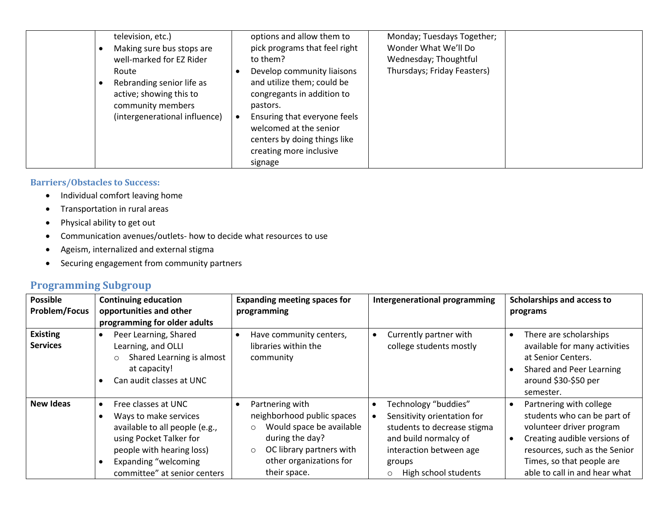| television, etc.)<br>Making sure bus stops are<br>well-marked for EZ Rider<br>Route<br>Rebranding senior life as<br>active; showing this to<br>community members<br>(intergenerational influence) | options and allow them to<br>pick programs that feel right<br>to them?<br>Develop community liaisons<br>and utilize them; could be<br>congregants in addition to<br>pastors.<br>Ensuring that everyone feels<br>welcomed at the senior<br>centers by doing things like | Monday; Tuesdays Together;<br>Wonder What We'll Do<br>Wednesday; Thoughtful<br>Thursdays; Friday Feasters) |  |
|---------------------------------------------------------------------------------------------------------------------------------------------------------------------------------------------------|------------------------------------------------------------------------------------------------------------------------------------------------------------------------------------------------------------------------------------------------------------------------|------------------------------------------------------------------------------------------------------------|--|
|                                                                                                                                                                                                   | creating more inclusive<br>signage                                                                                                                                                                                                                                     |                                                                                                            |  |

#### **Barriers/Obstacles to Success:**

- Individual comfort leaving home
- Transportation in rural areas
- Physical ability to get out
- Communication avenues/outlets- how to decide what resources to use
- Ageism, internalized and external stigma
- Securing engagement from community partners

### **Programming Subgroup**

| <b>Possible</b>      | <b>Continuing education</b>          | <b>Expanding meeting spaces for</b> | <b>Intergenerational programming</b> | <b>Scholarships and access to</b> |
|----------------------|--------------------------------------|-------------------------------------|--------------------------------------|-----------------------------------|
| <b>Problem/Focus</b> | opportunities and other              | programming                         |                                      | programs                          |
|                      | programming for older adults         |                                     |                                      |                                   |
| <b>Existing</b>      | Peer Learning, Shared<br>$\bullet$   | Have community centers,<br>0        | Currently partner with<br>$\bullet$  | There are scholarships            |
| <b>Services</b>      | Learning, and OLLI                   | libraries within the                | college students mostly              | available for many activities     |
|                      | Shared Learning is almost<br>$\circ$ | community                           |                                      | at Senior Centers.                |
|                      | at capacity!                         |                                     |                                      | Shared and Peer Learning          |
|                      | Can audit classes at UNC             |                                     |                                      | around \$30-\$50 per              |
|                      |                                      |                                     |                                      | semester.                         |
| <b>New Ideas</b>     | Free classes at UNC<br>$\bullet$     | Partnering with                     | Technology "buddies"                 | Partnering with college           |
|                      | Ways to make services                | neighborhood public spaces          | Sensitivity orientation for          | students who can be part of       |
|                      | available to all people (e.g.,       | Would space be available<br>$\circ$ | students to decrease stigma          | volunteer driver program          |
|                      | using Pocket Talker for              | during the day?                     | and build normalcy of                | Creating audible versions of      |
|                      | people with hearing loss)            | OC library partners with<br>$\circ$ | interaction between age              | resources, such as the Senior     |
|                      | Expanding "welcoming                 | other organizations for             | groups                               | Times, so that people are         |
|                      | committee" at senior centers         | their space.                        | High school students<br>$\circ$      | able to call in and hear what     |